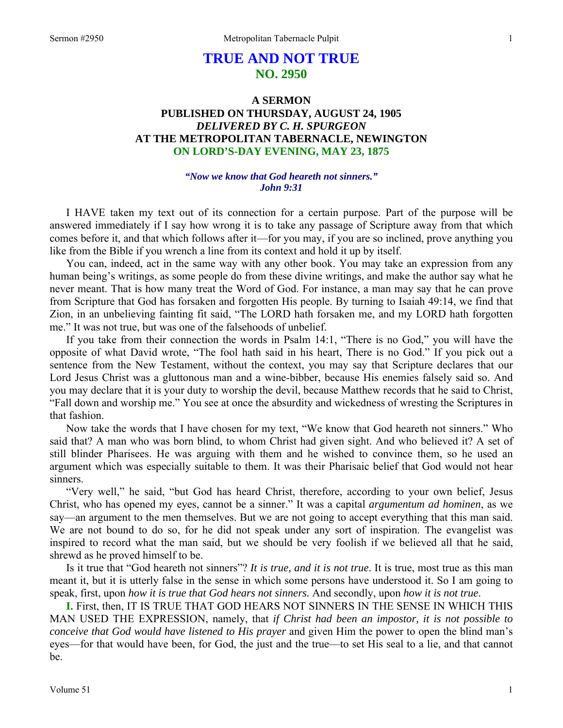# **TRUE AND NOT TRUE NO. 2950**

# **A SERMON PUBLISHED ON THURSDAY, AUGUST 24, 1905**  *DELIVERED BY C. H. SPURGEON*  **AT THE METROPOLITAN TABERNACLE, NEWINGTON ON LORD'S-DAY EVENING, MAY 23, 1875**

### *"Now we know that God heareth not sinners." John 9:31*

I HAVE taken my text out of its connection for a certain purpose. Part of the purpose will be answered immediately if I say how wrong it is to take any passage of Scripture away from that which comes before it, and that which follows after it—for you may, if you are so inclined, prove anything you like from the Bible if you wrench a line from its context and hold it up by itself.

 You can, indeed, act in the same way with any other book. You may take an expression from any human being's writings, as some people do from these divine writings, and make the author say what he never meant. That is how many treat the Word of God. For instance, a man may say that he can prove from Scripture that God has forsaken and forgotten His people. By turning to Isaiah 49:14, we find that Zion, in an unbelieving fainting fit said, "The LORD hath forsaken me, and my LORD hath forgotten me." It was not true, but was one of the falsehoods of unbelief.

 If you take from their connection the words in Psalm 14:1, "There is no God," you will have the opposite of what David wrote, "The fool hath said in his heart, There is no God." If you pick out a sentence from the New Testament, without the context, you may say that Scripture declares that our Lord Jesus Christ was a gluttonous man and a wine-bibber, because His enemies falsely said so. And you may declare that it is your duty to worship the devil, because Matthew records that he said to Christ, "Fall down and worship me." You see at once the absurdity and wickedness of wresting the Scriptures in that fashion.

 Now take the words that I have chosen for my text, "We know that God heareth not sinners." Who said that? A man who was born blind, to whom Christ had given sight. And who believed it? A set of still blinder Pharisees. He was arguing with them and he wished to convince them, so he used an argument which was especially suitable to them. It was their Pharisaic belief that God would not hear sinners.

 "Very well," he said, "but God has heard Christ, therefore, according to your own belief, Jesus Christ, who has opened my eyes, cannot be a sinner." It was a capital *argumentum ad hominen*, as we say—an argument to the men themselves. But we are not going to accept everything that this man said. We are not bound to do so, for he did not speak under any sort of inspiration. The evangelist was inspired to record what the man said, but we should be very foolish if we believed all that he said, shrewd as he proved himself to be.

 Is it true that "God heareth not sinners"? *It is true, and it is not true*. It is true, most true as this man meant it, but it is utterly false in the sense in which some persons have understood it. So I am going to speak, first, upon *how it is true that God hears not sinners.* And secondly, upon *how it is not true*.

**I.** First, then, IT IS TRUE THAT GOD HEARS NOT SINNERS IN THE SENSE IN WHICH THIS MAN USED THE EXPRESSION, namely, that *if Christ had been an impostor, it is not possible to conceive that God would have listened to His prayer* and given Him the power to open the blind man's eyes—for that would have been, for God, the just and the true—to set His seal to a lie, and that cannot be.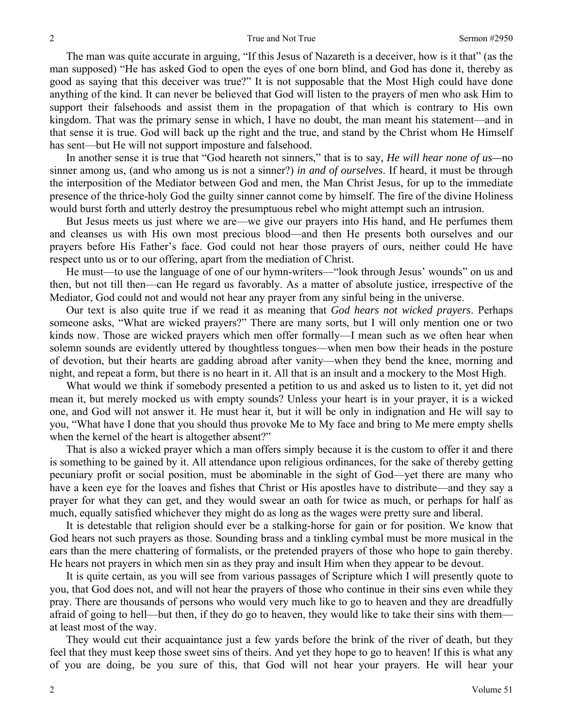The man was quite accurate in arguing, "If this Jesus of Nazareth is a deceiver, how is it that" (as the man supposed) "He has asked God to open the eyes of one born blind, and God has done it, thereby as good as saying that this deceiver was true?" It is not supposable that the Most High could have done anything of the kind. It can never be believed that God will listen to the prayers of men who ask Him to support their falsehoods and assist them in the propagation of that which is contrary to His own kingdom. That was the primary sense in which, I have no doubt, the man meant his statement—and in that sense it is true. God will back up the right and the true, and stand by the Christ whom He Himself has sent—but He will not support imposture and falsehood.

 In another sense it is true that "God heareth not sinners," that is to say, *He will hear none of us—*no sinner among us, (and who among us is not a sinner?) *in and of ourselves*. If heard, it must be through the interposition of the Mediator between God and men, the Man Christ Jesus, for up to the immediate presence of the thrice-holy God the guilty sinner cannot come by himself. The fire of the divine Holiness would burst forth and utterly destroy the presumptuous rebel who might attempt such an intrusion.

 But Jesus meets us just where we are—we give our prayers into His hand, and He perfumes them and cleanses us with His own most precious blood—and then He presents both ourselves and our prayers before His Father's face. God could not hear those prayers of ours, neither could He have respect unto us or to our offering, apart from the mediation of Christ.

 He must—to use the language of one of our hymn-writers—"look through Jesus' wounds" on us and then, but not till then—can He regard us favorably. As a matter of absolute justice, irrespective of the Mediator, God could not and would not hear any prayer from any sinful being in the universe.

 Our text is also quite true if we read it as meaning that *God hears not wicked prayers*. Perhaps someone asks, "What are wicked prayers?" There are many sorts, but I will only mention one or two kinds now. Those are wicked prayers which men offer formally—I mean such as we often hear when solemn sounds are evidently uttered by thoughtless tongues—when men bow their heads in the posture of devotion, but their hearts are gadding abroad after vanity—when they bend the knee, morning and night, and repeat a form, but there is no heart in it. All that is an insult and a mockery to the Most High.

 What would we think if somebody presented a petition to us and asked us to listen to it, yet did not mean it, but merely mocked us with empty sounds? Unless your heart is in your prayer, it is a wicked one, and God will not answer it. He must hear it, but it will be only in indignation and He will say to you, "What have I done that you should thus provoke Me to My face and bring to Me mere empty shells when the kernel of the heart is altogether absent?"

 That is also a wicked prayer which a man offers simply because it is the custom to offer it and there is something to be gained by it. All attendance upon religious ordinances, for the sake of thereby getting pecuniary profit or social position, must be abominable in the sight of God—yet there are many who have a keen eye for the loaves and fishes that Christ or His apostles have to distribute—and they say a prayer for what they can get, and they would swear an oath for twice as much, or perhaps for half as much, equally satisfied whichever they might do as long as the wages were pretty sure and liberal.

 It is detestable that religion should ever be a stalking-horse for gain or for position. We know that God hears not such prayers as those. Sounding brass and a tinkling cymbal must be more musical in the ears than the mere chattering of formalists, or the pretended prayers of those who hope to gain thereby. He hears not prayers in which men sin as they pray and insult Him when they appear to be devout.

 It is quite certain, as you will see from various passages of Scripture which I will presently quote to you, that God does not, and will not hear the prayers of those who continue in their sins even while they pray. There are thousands of persons who would very much like to go to heaven and they are dreadfully afraid of going to hell—but then, if they do go to heaven, they would like to take their sins with them at least most of the way.

 They would cut their acquaintance just a few yards before the brink of the river of death, but they feel that they must keep those sweet sins of theirs. And yet they hope to go to heaven! If this is what any of you are doing, be you sure of this, that God will not hear your prayers. He will hear your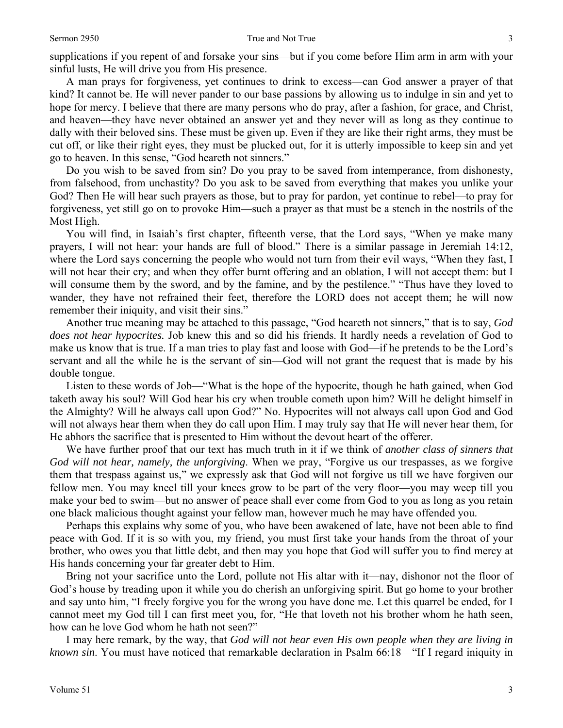supplications if you repent of and forsake your sins—but if you come before Him arm in arm with your sinful lusts, He will drive you from His presence.

 A man prays for forgiveness, yet continues to drink to excess—can God answer a prayer of that kind? It cannot be. He will never pander to our base passions by allowing us to indulge in sin and yet to hope for mercy. I believe that there are many persons who do pray, after a fashion, for grace, and Christ, and heaven—they have never obtained an answer yet and they never will as long as they continue to dally with their beloved sins. These must be given up. Even if they are like their right arms, they must be cut off, or like their right eyes, they must be plucked out, for it is utterly impossible to keep sin and yet go to heaven. In this sense, "God heareth not sinners."

 Do you wish to be saved from sin? Do you pray to be saved from intemperance, from dishonesty, from falsehood, from unchastity? Do you ask to be saved from everything that makes you unlike your God? Then He will hear such prayers as those, but to pray for pardon, yet continue to rebel—to pray for forgiveness, yet still go on to provoke Him—such a prayer as that must be a stench in the nostrils of the Most High.

 You will find, in Isaiah's first chapter, fifteenth verse, that the Lord says, "When ye make many prayers, I will not hear: your hands are full of blood." There is a similar passage in Jeremiah 14:12, where the Lord says concerning the people who would not turn from their evil ways, "When they fast, I will not hear their cry; and when they offer burnt offering and an oblation, I will not accept them: but I will consume them by the sword, and by the famine, and by the pestilence." "Thus have they loved to wander, they have not refrained their feet, therefore the LORD does not accept them; he will now remember their iniquity, and visit their sins."

 Another true meaning may be attached to this passage, "God heareth not sinners," that is to say, *God does not hear hypocrites.* Job knew this and so did his friends. It hardly needs a revelation of God to make us know that is true. If a man tries to play fast and loose with God—if he pretends to be the Lord's servant and all the while he is the servant of sin—God will not grant the request that is made by his double tongue.

 Listen to these words of Job—"What is the hope of the hypocrite, though he hath gained, when God taketh away his soul? Will God hear his cry when trouble cometh upon him? Will he delight himself in the Almighty? Will he always call upon God?" No. Hypocrites will not always call upon God and God will not always hear them when they do call upon Him. I may truly say that He will never hear them, for He abhors the sacrifice that is presented to Him without the devout heart of the offerer.

 We have further proof that our text has much truth in it if we think of *another class of sinners that God will not hear, namely, the unforgiving*. When we pray, "Forgive us our trespasses, as we forgive them that trespass against us," we expressly ask that God will not forgive us till we have forgiven our fellow men. You may kneel till your knees grow to be part of the very floor—you may weep till you make your bed to swim—but no answer of peace shall ever come from God to you as long as you retain one black malicious thought against your fellow man, however much he may have offended you.

 Perhaps this explains why some of you, who have been awakened of late, have not been able to find peace with God. If it is so with you, my friend, you must first take your hands from the throat of your brother, who owes you that little debt, and then may you hope that God will suffer you to find mercy at His hands concerning your far greater debt to Him.

 Bring not your sacrifice unto the Lord, pollute not His altar with it—nay, dishonor not the floor of God's house by treading upon it while you do cherish an unforgiving spirit. But go home to your brother and say unto him, "I freely forgive you for the wrong you have done me. Let this quarrel be ended, for I cannot meet my God till I can first meet you, for, "He that loveth not his brother whom he hath seen, how can he love God whom he hath not seen?"

 I may here remark, by the way, that *God will not hear even His own people when they are living in known sin*. You must have noticed that remarkable declaration in Psalm 66:18—"If I regard iniquity in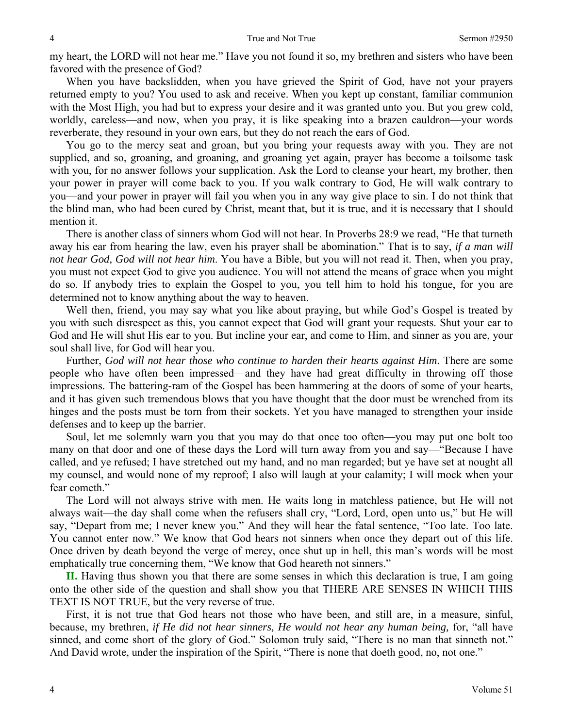my heart, the LORD will not hear me." Have you not found it so, my brethren and sisters who have been favored with the presence of God?

 When you have backslidden, when you have grieved the Spirit of God, have not your prayers returned empty to you? You used to ask and receive. When you kept up constant, familiar communion with the Most High, you had but to express your desire and it was granted unto you. But you grew cold, worldly, careless—and now, when you pray, it is like speaking into a brazen cauldron—your words reverberate, they resound in your own ears, but they do not reach the ears of God.

 You go to the mercy seat and groan, but you bring your requests away with you. They are not supplied, and so, groaning, and groaning, and groaning yet again, prayer has become a toilsome task with you, for no answer follows your supplication. Ask the Lord to cleanse your heart, my brother, then your power in prayer will come back to you. If you walk contrary to God, He will walk contrary to you—and your power in prayer will fail you when you in any way give place to sin. I do not think that the blind man, who had been cured by Christ, meant that, but it is true, and it is necessary that I should mention it.

 There is another class of sinners whom God will not hear. In Proverbs 28:9 we read, "He that turneth away his ear from hearing the law, even his prayer shall be abomination." That is to say, *if a man will not hear God, God will not hear him*. You have a Bible, but you will not read it. Then, when you pray, you must not expect God to give you audience. You will not attend the means of grace when you might do so. If anybody tries to explain the Gospel to you, you tell him to hold his tongue, for you are determined not to know anything about the way to heaven.

 Well then, friend, you may say what you like about praying, but while God's Gospel is treated by you with such disrespect as this, you cannot expect that God will grant your requests. Shut your ear to God and He will shut His ear to you. But incline your ear, and come to Him, and sinner as you are, your soul shall live, for God will hear you.

 Further, *God will not hear those who continue to harden their hearts against Him*. There are some people who have often been impressed—and they have had great difficulty in throwing off those impressions. The battering-ram of the Gospel has been hammering at the doors of some of your hearts, and it has given such tremendous blows that you have thought that the door must be wrenched from its hinges and the posts must be torn from their sockets. Yet you have managed to strengthen your inside defenses and to keep up the barrier.

 Soul, let me solemnly warn you that you may do that once too often—you may put one bolt too many on that door and one of these days the Lord will turn away from you and say—"Because I have called, and ye refused; I have stretched out my hand, and no man regarded; but ye have set at nought all my counsel, and would none of my reproof; I also will laugh at your calamity; I will mock when your fear cometh."

 The Lord will not always strive with men. He waits long in matchless patience, but He will not always wait—the day shall come when the refusers shall cry, "Lord, Lord, open unto us," but He will say, "Depart from me; I never knew you." And they will hear the fatal sentence, "Too late. Too late. You cannot enter now." We know that God hears not sinners when once they depart out of this life. Once driven by death beyond the verge of mercy, once shut up in hell, this man's words will be most emphatically true concerning them, "We know that God heareth not sinners."

**II.** Having thus shown you that there are some senses in which this declaration is true, I am going onto the other side of the question and shall show you that THERE ARE SENSES IN WHICH THIS TEXT IS NOT TRUE, but the very reverse of true.

 First, it is not true that God hears not those who have been, and still are, in a measure, sinful, because, my brethren, *if He did not hear sinners, He would not hear any human being,* for, "all have sinned, and come short of the glory of God." Solomon truly said, "There is no man that sinneth not." And David wrote, under the inspiration of the Spirit, "There is none that doeth good, no, not one."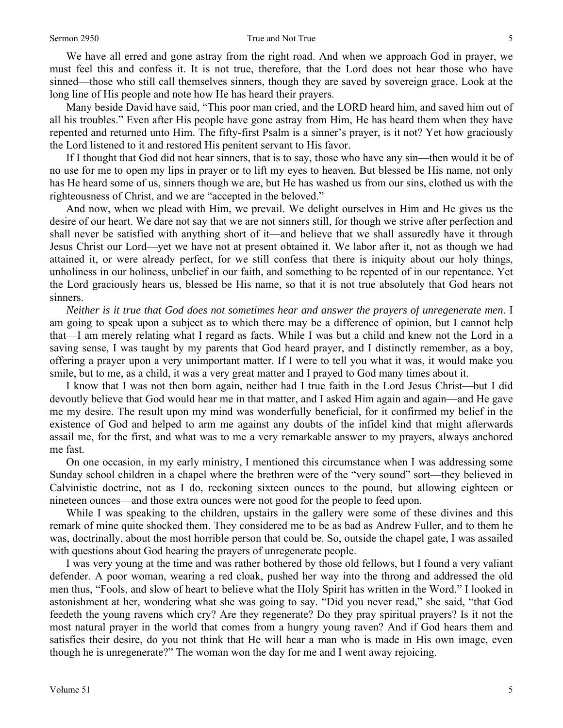We have all erred and gone astray from the right road. And when we approach God in prayer, we must feel this and confess it. It is not true, therefore, that the Lord does not hear those who have sinned—those who still call themselves sinners, though they are saved by sovereign grace. Look at the long line of His people and note how He has heard their prayers.

 Many beside David have said, "This poor man cried, and the LORD heard him, and saved him out of all his troubles." Even after His people have gone astray from Him, He has heard them when they have repented and returned unto Him. The fifty-first Psalm is a sinner's prayer, is it not? Yet how graciously the Lord listened to it and restored His penitent servant to His favor.

 If I thought that God did not hear sinners, that is to say, those who have any sin—then would it be of no use for me to open my lips in prayer or to lift my eyes to heaven. But blessed be His name, not only has He heard some of us, sinners though we are, but He has washed us from our sins, clothed us with the righteousness of Christ, and we are "accepted in the beloved."

 And now, when we plead with Him, we prevail. We delight ourselves in Him and He gives us the desire of our heart. We dare not say that we are not sinners still, for though we strive after perfection and shall never be satisfied with anything short of it—and believe that we shall assuredly have it through Jesus Christ our Lord—yet we have not at present obtained it. We labor after it, not as though we had attained it, or were already perfect, for we still confess that there is iniquity about our holy things, unholiness in our holiness, unbelief in our faith, and something to be repented of in our repentance. Yet the Lord graciously hears us, blessed be His name, so that it is not true absolutely that God hears not sinners.

*Neither is it true that God does not sometimes hear and answer the prayers of unregenerate men*. I am going to speak upon a subject as to which there may be a difference of opinion, but I cannot help that—I am merely relating what I regard as facts. While I was but a child and knew not the Lord in a saving sense, I was taught by my parents that God heard prayer, and I distinctly remember, as a boy, offering a prayer upon a very unimportant matter. If I were to tell you what it was, it would make you smile, but to me, as a child, it was a very great matter and I prayed to God many times about it.

 I know that I was not then born again, neither had I true faith in the Lord Jesus Christ—but I did devoutly believe that God would hear me in that matter, and I asked Him again and again—and He gave me my desire. The result upon my mind was wonderfully beneficial, for it confirmed my belief in the existence of God and helped to arm me against any doubts of the infidel kind that might afterwards assail me, for the first, and what was to me a very remarkable answer to my prayers, always anchored me fast.

 On one occasion, in my early ministry, I mentioned this circumstance when I was addressing some Sunday school children in a chapel where the brethren were of the "very sound" sort—they believed in Calvinistic doctrine, not as I do, reckoning sixteen ounces to the pound, but allowing eighteen or nineteen ounces—and those extra ounces were not good for the people to feed upon.

 While I was speaking to the children, upstairs in the gallery were some of these divines and this remark of mine quite shocked them. They considered me to be as bad as Andrew Fuller, and to them he was, doctrinally, about the most horrible person that could be. So, outside the chapel gate, I was assailed with questions about God hearing the prayers of unregenerate people.

 I was very young at the time and was rather bothered by those old fellows, but I found a very valiant defender. A poor woman, wearing a red cloak, pushed her way into the throng and addressed the old men thus, "Fools, and slow of heart to believe what the Holy Spirit has written in the Word." I looked in astonishment at her, wondering what she was going to say. "Did you never read," she said, "that God feedeth the young ravens which cry? Are they regenerate? Do they pray spiritual prayers? Is it not the most natural prayer in the world that comes from a hungry young raven? And if God hears them and satisfies their desire, do you not think that He will hear a man who is made in His own image, even though he is unregenerate?" The woman won the day for me and I went away rejoicing.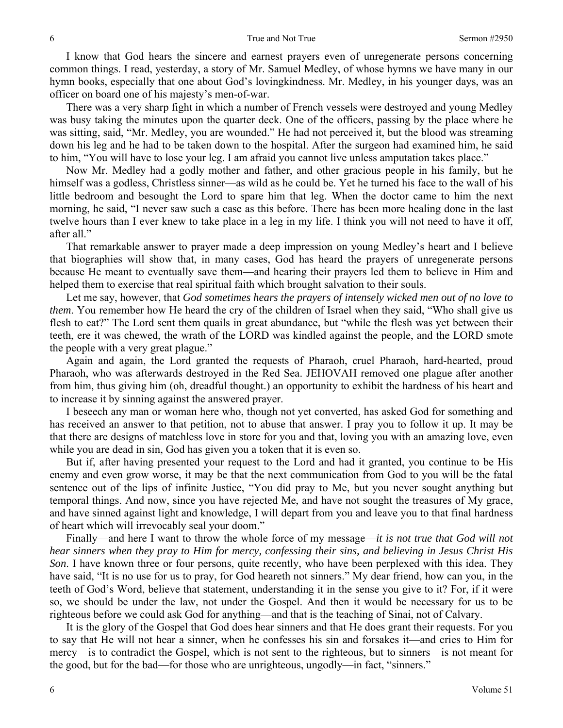I know that God hears the sincere and earnest prayers even of unregenerate persons concerning common things. I read, yesterday, a story of Mr. Samuel Medley, of whose hymns we have many in our hymn books, especially that one about God's lovingkindness. Mr. Medley, in his younger days, was an officer on board one of his majesty's men-of-war.

 There was a very sharp fight in which a number of French vessels were destroyed and young Medley was busy taking the minutes upon the quarter deck. One of the officers, passing by the place where he was sitting, said, "Mr. Medley, you are wounded." He had not perceived it, but the blood was streaming down his leg and he had to be taken down to the hospital. After the surgeon had examined him, he said to him, "You will have to lose your leg. I am afraid you cannot live unless amputation takes place."

 Now Mr. Medley had a godly mother and father, and other gracious people in his family, but he himself was a godless, Christless sinner—as wild as he could be. Yet he turned his face to the wall of his little bedroom and besought the Lord to spare him that leg. When the doctor came to him the next morning, he said, "I never saw such a case as this before. There has been more healing done in the last twelve hours than I ever knew to take place in a leg in my life. I think you will not need to have it off, after all."

 That remarkable answer to prayer made a deep impression on young Medley's heart and I believe that biographies will show that, in many cases, God has heard the prayers of unregenerate persons because He meant to eventually save them—and hearing their prayers led them to believe in Him and helped them to exercise that real spiritual faith which brought salvation to their souls.

 Let me say, however, that *God sometimes hears the prayers of intensely wicked men out of no love to them*. You remember how He heard the cry of the children of Israel when they said, "Who shall give us flesh to eat?" The Lord sent them quails in great abundance, but "while the flesh was yet between their teeth, ere it was chewed, the wrath of the LORD was kindled against the people, and the LORD smote the people with a very great plague."

 Again and again, the Lord granted the requests of Pharaoh, cruel Pharaoh, hard-hearted, proud Pharaoh, who was afterwards destroyed in the Red Sea. JEHOVAH removed one plague after another from him, thus giving him (oh, dreadful thought.) an opportunity to exhibit the hardness of his heart and to increase it by sinning against the answered prayer.

 I beseech any man or woman here who, though not yet converted, has asked God for something and has received an answer to that petition, not to abuse that answer. I pray you to follow it up. It may be that there are designs of matchless love in store for you and that, loving you with an amazing love, even while you are dead in sin, God has given you a token that it is even so.

 But if, after having presented your request to the Lord and had it granted, you continue to be His enemy and even grow worse, it may be that the next communication from God to you will be the fatal sentence out of the lips of infinite Justice, "You did pray to Me, but you never sought anything but temporal things. And now, since you have rejected Me, and have not sought the treasures of My grace, and have sinned against light and knowledge, I will depart from you and leave you to that final hardness of heart which will irrevocably seal your doom."

 Finally—and here I want to throw the whole force of my message—*it is not true that God will not hear sinners when they pray to Him for mercy, confessing their sins, and believing in Jesus Christ His Son*. I have known three or four persons, quite recently, who have been perplexed with this idea. They have said, "It is no use for us to pray, for God heareth not sinners." My dear friend, how can you, in the teeth of God's Word, believe that statement, understanding it in the sense you give to it? For, if it were so, we should be under the law, not under the Gospel. And then it would be necessary for us to be righteous before we could ask God for anything—and that is the teaching of Sinai, not of Calvary.

 It is the glory of the Gospel that God does hear sinners and that He does grant their requests. For you to say that He will not hear a sinner, when he confesses his sin and forsakes it—and cries to Him for mercy—is to contradict the Gospel, which is not sent to the righteous, but to sinners—is not meant for the good, but for the bad—for those who are unrighteous, ungodly—in fact, "sinners."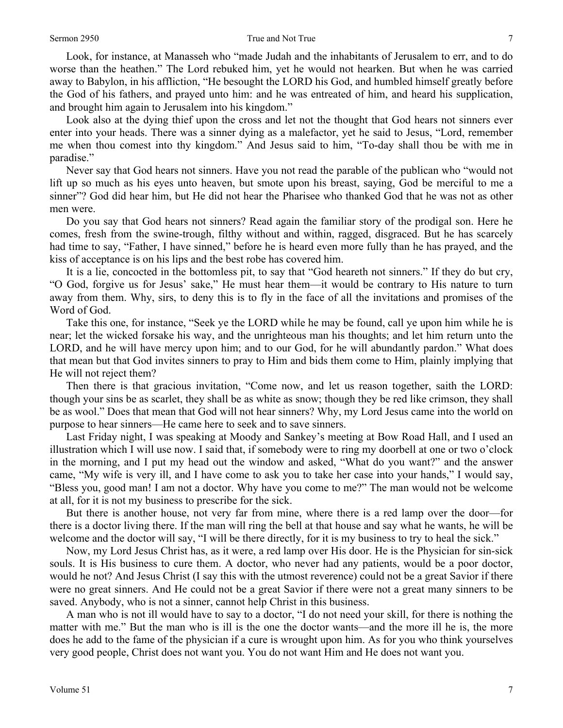Look, for instance, at Manasseh who "made Judah and the inhabitants of Jerusalem to err, and to do worse than the heathen." The Lord rebuked him, yet he would not hearken. But when he was carried away to Babylon, in his affliction, "He besought the LORD his God, and humbled himself greatly before the God of his fathers, and prayed unto him: and he was entreated of him, and heard his supplication, and brought him again to Jerusalem into his kingdom."

 Look also at the dying thief upon the cross and let not the thought that God hears not sinners ever enter into your heads. There was a sinner dying as a malefactor, yet he said to Jesus, "Lord, remember me when thou comest into thy kingdom." And Jesus said to him, "To-day shall thou be with me in paradise."

 Never say that God hears not sinners. Have you not read the parable of the publican who "would not lift up so much as his eyes unto heaven, but smote upon his breast, saying, God be merciful to me a sinner"? God did hear him, but He did not hear the Pharisee who thanked God that he was not as other men were.

 Do you say that God hears not sinners? Read again the familiar story of the prodigal son. Here he comes, fresh from the swine-trough, filthy without and within, ragged, disgraced. But he has scarcely had time to say, "Father, I have sinned," before he is heard even more fully than he has prayed, and the kiss of acceptance is on his lips and the best robe has covered him.

 It is a lie, concocted in the bottomless pit, to say that "God heareth not sinners." If they do but cry, "O God, forgive us for Jesus' sake," He must hear them—it would be contrary to His nature to turn away from them. Why, sirs, to deny this is to fly in the face of all the invitations and promises of the Word of God.

 Take this one, for instance, "Seek ye the LORD while he may be found, call ye upon him while he is near; let the wicked forsake his way, and the unrighteous man his thoughts; and let him return unto the LORD, and he will have mercy upon him; and to our God, for he will abundantly pardon." What does that mean but that God invites sinners to pray to Him and bids them come to Him, plainly implying that He will not reject them?

 Then there is that gracious invitation, "Come now, and let us reason together, saith the LORD: though your sins be as scarlet, they shall be as white as snow; though they be red like crimson, they shall be as wool." Does that mean that God will not hear sinners? Why, my Lord Jesus came into the world on purpose to hear sinners—He came here to seek and to save sinners.

 Last Friday night, I was speaking at Moody and Sankey's meeting at Bow Road Hall, and I used an illustration which I will use now. I said that, if somebody were to ring my doorbell at one or two o'clock in the morning, and I put my head out the window and asked, "What do you want?" and the answer came, "My wife is very ill, and I have come to ask you to take her case into your hands," I would say, "Bless you, good man! I am not a doctor. Why have you come to me?" The man would not be welcome at all, for it is not my business to prescribe for the sick.

 But there is another house, not very far from mine, where there is a red lamp over the door—for there is a doctor living there. If the man will ring the bell at that house and say what he wants, he will be welcome and the doctor will say, "I will be there directly, for it is my business to try to heal the sick."

 Now, my Lord Jesus Christ has, as it were, a red lamp over His door. He is the Physician for sin-sick souls. It is His business to cure them. A doctor, who never had any patients, would be a poor doctor, would he not? And Jesus Christ (I say this with the utmost reverence) could not be a great Savior if there were no great sinners. And He could not be a great Savior if there were not a great many sinners to be saved. Anybody, who is not a sinner, cannot help Christ in this business.

 A man who is not ill would have to say to a doctor, "I do not need your skill, for there is nothing the matter with me." But the man who is ill is the one the doctor wants—and the more ill he is, the more does he add to the fame of the physician if a cure is wrought upon him. As for you who think yourselves very good people, Christ does not want you. You do not want Him and He does not want you.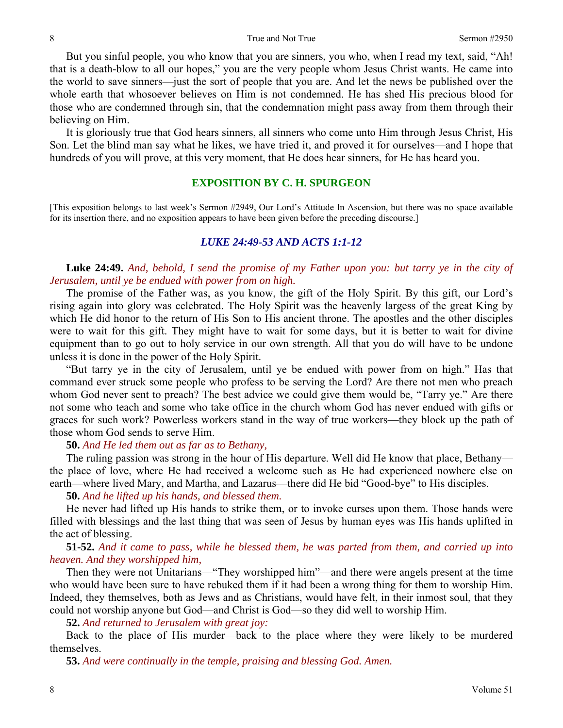But you sinful people, you who know that you are sinners, you who, when I read my text, said, "Ah! that is a death-blow to all our hopes," you are the very people whom Jesus Christ wants. He came into the world to save sinners—just the sort of people that you are. And let the news be published over the whole earth that whosoever believes on Him is not condemned. He has shed His precious blood for those who are condemned through sin, that the condemnation might pass away from them through their believing on Him.

 It is gloriously true that God hears sinners, all sinners who come unto Him through Jesus Christ, His Son. Let the blind man say what he likes, we have tried it, and proved it for ourselves—and I hope that hundreds of you will prove, at this very moment, that He does hear sinners, for He has heard you.

# **EXPOSITION BY C. H. SPURGEON**

[This exposition belongs to last week's Sermon #2949, Our Lord's Attitude In Ascension, but there was no space available for its insertion there, and no exposition appears to have been given before the preceding discourse.]

#### *LUKE 24:49-53 AND ACTS 1:1-12*

**Luke 24:49.** *And, behold, I send the promise of my Father upon you: but tarry ye in the city of Jerusalem, until ye be endued with power from on high.* 

The promise of the Father was, as you know, the gift of the Holy Spirit. By this gift, our Lord's rising again into glory was celebrated. The Holy Spirit was the heavenly largess of the great King by which He did honor to the return of His Son to His ancient throne. The apostles and the other disciples were to wait for this gift. They might have to wait for some days, but it is better to wait for divine equipment than to go out to holy service in our own strength. All that you do will have to be undone unless it is done in the power of the Holy Spirit.

 "But tarry ye in the city of Jerusalem, until ye be endued with power from on high." Has that command ever struck some people who profess to be serving the Lord? Are there not men who preach whom God never sent to preach? The best advice we could give them would be, "Tarry ye." Are there not some who teach and some who take office in the church whom God has never endued with gifts or graces for such work? Powerless workers stand in the way of true workers—they block up the path of those whom God sends to serve Him.

## **50.** *And He led them out as far as to Bethany,*

The ruling passion was strong in the hour of His departure. Well did He know that place, Bethany the place of love, where He had received a welcome such as He had experienced nowhere else on earth—where lived Mary, and Martha, and Lazarus—there did He bid "Good-bye" to His disciples.

**50.** *And he lifted up his hands, and blessed them.* 

He never had lifted up His hands to strike them, or to invoke curses upon them. Those hands were filled with blessings and the last thing that was seen of Jesus by human eyes was His hands uplifted in the act of blessing.

**51-52.** *And it came to pass, while he blessed them, he was parted from them, and carried up into heaven. And they worshipped him,* 

Then they were not Unitarians—"They worshipped him"—and there were angels present at the time who would have been sure to have rebuked them if it had been a wrong thing for them to worship Him. Indeed, they themselves, both as Jews and as Christians, would have felt, in their inmost soul, that they could not worship anyone but God—and Christ is God—so they did well to worship Him.

**52.** *And returned to Jerusalem with great joy:* 

Back to the place of His murder—back to the place where they were likely to be murdered themselves.

**53.** *And were continually in the temple, praising and blessing God. Amen.*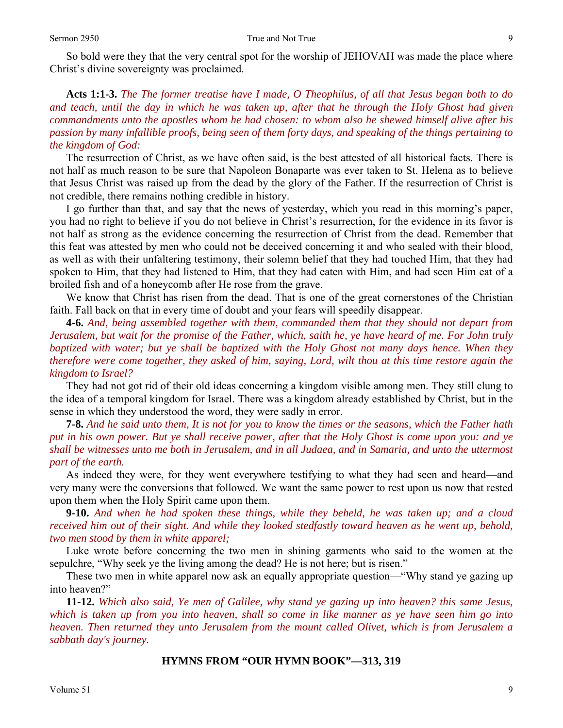So bold were they that the very central spot for the worship of JEHOVAH was made the place where Christ's divine sovereignty was proclaimed.

**Acts 1:1-3.** *The The former treatise have I made, O Theophilus, of all that Jesus began both to do and teach, until the day in which he was taken up, after that he through the Holy Ghost had given commandments unto the apostles whom he had chosen: to whom also he shewed himself alive after his passion by many infallible proofs, being seen of them forty days, and speaking of the things pertaining to the kingdom of God:* 

The resurrection of Christ, as we have often said, is the best attested of all historical facts. There is not half as much reason to be sure that Napoleon Bonaparte was ever taken to St. Helena as to believe that Jesus Christ was raised up from the dead by the glory of the Father. If the resurrection of Christ is not credible, there remains nothing credible in history.

 I go further than that, and say that the news of yesterday, which you read in this morning's paper, you had no right to believe if you do not believe in Christ's resurrection, for the evidence in its favor is not half as strong as the evidence concerning the resurrection of Christ from the dead. Remember that this feat was attested by men who could not be deceived concerning it and who sealed with their blood, as well as with their unfaltering testimony, their solemn belief that they had touched Him, that they had spoken to Him, that they had listened to Him, that they had eaten with Him, and had seen Him eat of a broiled fish and of a honeycomb after He rose from the grave.

 We know that Christ has risen from the dead. That is one of the great cornerstones of the Christian faith. Fall back on that in every time of doubt and your fears will speedily disappear.

**4-6.** *And, being assembled together with them, commanded them that they should not depart from Jerusalem, but wait for the promise of the Father, which, saith he, ye have heard of me. For John truly baptized with water; but ye shall be baptized with the Holy Ghost not many days hence. When they therefore were come together, they asked of him, saying, Lord, wilt thou at this time restore again the kingdom to Israel?* 

They had not got rid of their old ideas concerning a kingdom visible among men. They still clung to the idea of a temporal kingdom for Israel. There was a kingdom already established by Christ, but in the sense in which they understood the word, they were sadly in error.

**7-8.** *And he said unto them, It is not for you to know the times or the seasons, which the Father hath put in his own power. But ye shall receive power, after that the Holy Ghost is come upon you: and ye shall be witnesses unto me both in Jerusalem, and in all Judaea, and in Samaria, and unto the uttermost part of the earth.* 

As indeed they were, for they went everywhere testifying to what they had seen and heard—and very many were the conversions that followed. We want the same power to rest upon us now that rested upon them when the Holy Spirit came upon them.

**9-10.** *And when he had spoken these things, while they beheld, he was taken up; and a cloud received him out of their sight. And while they looked stedfastly toward heaven as he went up, behold, two men stood by them in white apparel;* 

Luke wrote before concerning the two men in shining garments who said to the women at the sepulchre, "Why seek ye the living among the dead? He is not here; but is risen."

 These two men in white apparel now ask an equally appropriate question—"Why stand ye gazing up into heaven?"

**11-12.** *Which also said, Ye men of Galilee, why stand ye gazing up into heaven? this same Jesus, which is taken up from you into heaven, shall so come in like manner as ye have seen him go into heaven. Then returned they unto Jerusalem from the mount called Olivet, which is from Jerusalem a sabbath day's journey.* 

#### **HYMNS FROM "OUR HYMN BOOK"—313, 319**